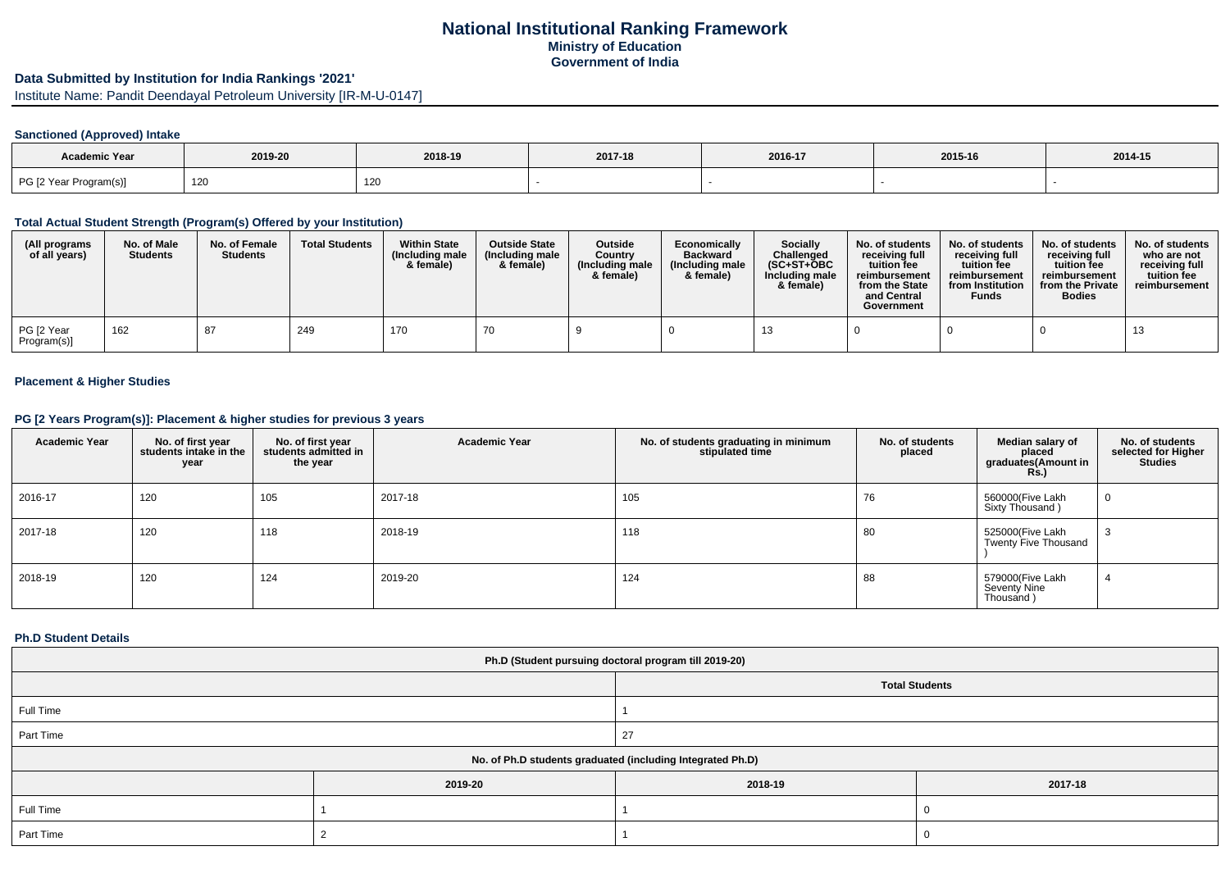## **National Institutional Ranking FrameworkMinistry of EducationGovernment of India**

# **Data Submitted by Institution for India Rankings '2021'**

Institute Name: Pandit Deendayal Petroleum University [IR-M-U-0147]

## **Sanctioned (Approved) Intake**

| <b>Academic Year</b>   | 2019-20 | 2018-19 | 2017-18 | 2016-17 | 2015-16 | 2014-15 |
|------------------------|---------|---------|---------|---------|---------|---------|
| PG [2 Year Program(s)] | 120     | 120     |         |         |         |         |

## **Total Actual Student Strength (Program(s) Offered by your Institution)**

| (All programs<br>of all years) | No. of Male<br><b>Students</b> | No. of Female<br><b>Students</b> | <b>Total Students</b> | <b>Within State</b><br>(Including male)<br>& female) | <b>Outside State</b><br>(Including male<br>& female) | <b>Outside</b><br>Country<br>(Including male)<br>& female) | Economically<br><b>Backward</b><br>(Including male<br>& female) | <b>Socially</b><br>Challenged<br>$(SC+ST+OBC)$<br>Including male<br>& female) | No. of students<br>receivina full<br>tuition fee<br>reimbursement<br>from the State<br>and Central<br>Government | No. of students<br>receiving full<br>tuition fee<br>reimbursement<br>from Institution<br><b>Funds</b> | No. of students<br>receiving full<br>tuition fee<br>reimbursement<br>from the Private<br><b>Bodies</b> | No. of students<br>who are not<br>receivina full<br>tuition fee<br>reimbursement |
|--------------------------------|--------------------------------|----------------------------------|-----------------------|------------------------------------------------------|------------------------------------------------------|------------------------------------------------------------|-----------------------------------------------------------------|-------------------------------------------------------------------------------|------------------------------------------------------------------------------------------------------------------|-------------------------------------------------------------------------------------------------------|--------------------------------------------------------------------------------------------------------|----------------------------------------------------------------------------------|
| PG [2 Year<br>Program(s)]      | 162                            | 87                               | 249                   | 170                                                  | 70                                                   |                                                            |                                                                 |                                                                               |                                                                                                                  |                                                                                                       |                                                                                                        |                                                                                  |

#### **Placement & Higher Studies**

# **PG [2 Years Program(s)]: Placement & higher studies for previous 3 years**

| <b>Academic Year</b> | No. of first year<br>students intake in the<br>year | No. of first year<br>students admitted in<br>the year | <b>Academic Year</b> | No. of students graduating in minimum<br>stipulated time | No. of students<br>placed | Median salary of<br>placed<br>graduates(Amount in<br><b>Rs.)</b> | No. of students<br>selected for Higher<br><b>Studies</b> |
|----------------------|-----------------------------------------------------|-------------------------------------------------------|----------------------|----------------------------------------------------------|---------------------------|------------------------------------------------------------------|----------------------------------------------------------|
| 2016-17              | 120                                                 | 105                                                   | 2017-18              | 105                                                      | 76                        | 560000(Five Lakh<br>Sixty Thousand)                              | 0                                                        |
| 2017-18              | 120                                                 | 118                                                   | 2018-19              | 118                                                      | 80                        | 525000(Five Lakh<br><b>Twenty Five Thousand</b>                  | - 3                                                      |
| 2018-19              | 120                                                 | 124                                                   | 2019-20              | 124                                                      | 88                        | 579000(Five Lakh<br>Seventy Nine<br>Thousand)                    |                                                          |

### **Ph.D Student Details**

| Ph.D (Student pursuing doctoral program till 2019-20)      |         |                       |         |  |
|------------------------------------------------------------|---------|-----------------------|---------|--|
|                                                            |         | <b>Total Students</b> |         |  |
| Full Time                                                  |         |                       |         |  |
| Part Time                                                  |         | 27                    |         |  |
| No. of Ph.D students graduated (including Integrated Ph.D) |         |                       |         |  |
|                                                            | 2019-20 | 2018-19               | 2017-18 |  |
| Full Time                                                  |         |                       |         |  |
| Part Time                                                  |         |                       |         |  |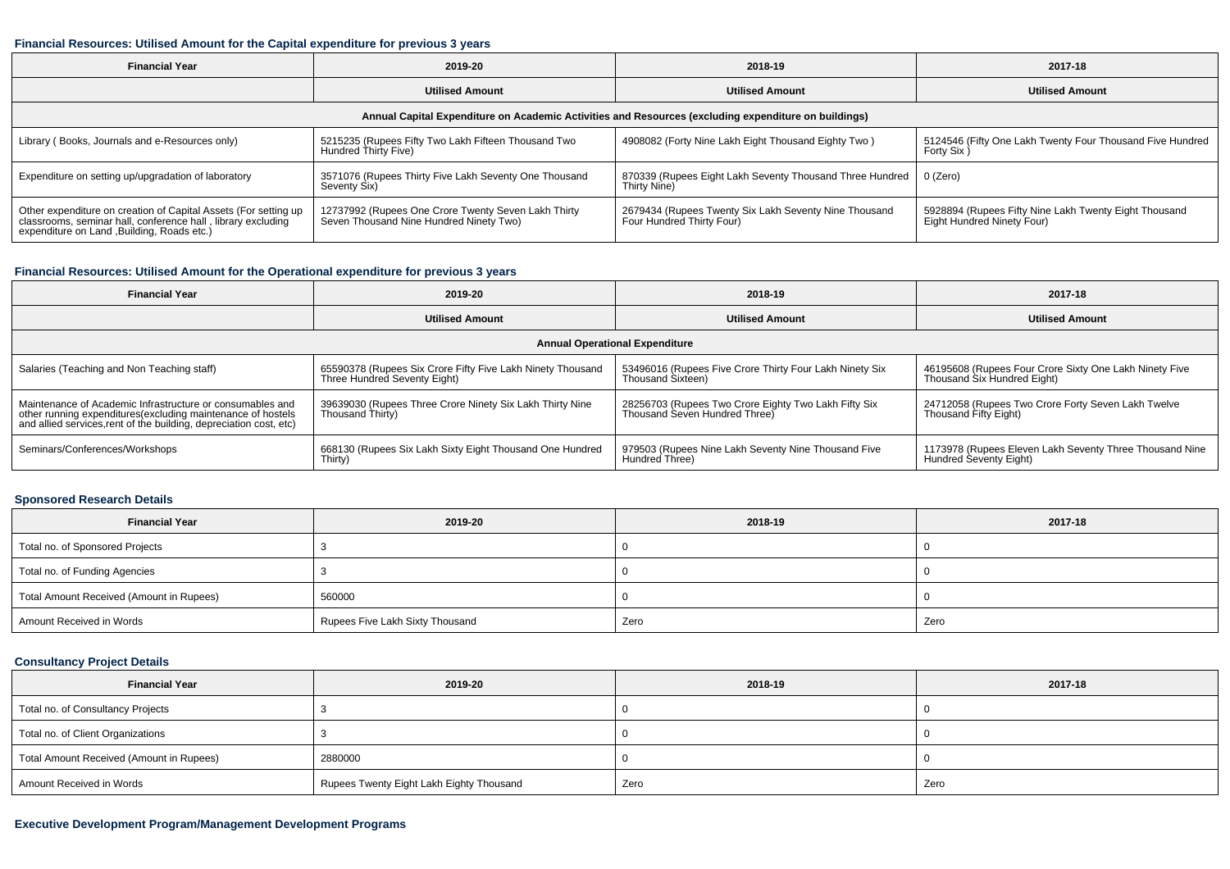#### **Financial Resources: Utilised Amount for the Capital expenditure for previous 3 years**

| <b>Financial Year</b>                                                                                                                                                          | 2019-20                                                                                        | 2018-19                                                                             | 2017-18                                                                             |  |  |
|--------------------------------------------------------------------------------------------------------------------------------------------------------------------------------|------------------------------------------------------------------------------------------------|-------------------------------------------------------------------------------------|-------------------------------------------------------------------------------------|--|--|
|                                                                                                                                                                                | <b>Utilised Amount</b>                                                                         | <b>Utilised Amount</b>                                                              | <b>Utilised Amount</b>                                                              |  |  |
| Annual Capital Expenditure on Academic Activities and Resources (excluding expenditure on buildings)                                                                           |                                                                                                |                                                                                     |                                                                                     |  |  |
| Library (Books, Journals and e-Resources only)                                                                                                                                 | 5215235 (Rupees Fifty Two Lakh Fifteen Thousand Two<br>Hundred Thirty Five)                    | 4908082 (Forty Nine Lakh Eight Thousand Eighty Two)                                 | 5124546 (Fifty One Lakh Twenty Four Thousand Five Hundred<br>Forty Six)             |  |  |
| Expenditure on setting up/upgradation of laboratory                                                                                                                            | 3571076 (Rupees Thirty Five Lakh Seventy One Thousand<br>Seventy Six)                          | 870339 (Rupees Eight Lakh Seventy Thousand Three Hundred   0 (Zero)<br>Thirty Nine) |                                                                                     |  |  |
| Other expenditure on creation of Capital Assets (For setting up<br>classrooms, seminar hall, conference hall, library excluding<br>expenditure on Land , Building, Roads etc.) | 12737992 (Rupees One Crore Twenty Seven Lakh Thirty<br>Seven Thousand Nine Hundred Ninety Two) | 2679434 (Rupees Twenty Six Lakh Seventy Nine Thousand<br>Four Hundred Thirty Four)  | 5928894 (Rupees Fifty Nine Lakh Twenty Eight Thousand<br>Eight Hundred Ninety Four) |  |  |

## **Financial Resources: Utilised Amount for the Operational expenditure for previous 3 years**

| <b>Financial Year</b>                                                                                                             | 2019-20                                                    | 2018-19                                                 | 2017-18                                                 |  |  |
|-----------------------------------------------------------------------------------------------------------------------------------|------------------------------------------------------------|---------------------------------------------------------|---------------------------------------------------------|--|--|
|                                                                                                                                   | <b>Utilised Amount</b>                                     | <b>Utilised Amount</b>                                  | <b>Utilised Amount</b>                                  |  |  |
| <b>Annual Operational Expenditure</b>                                                                                             |                                                            |                                                         |                                                         |  |  |
| Salaries (Teaching and Non Teaching staff)                                                                                        | 65590378 (Rupees Six Crore Fifty Five Lakh Ninety Thousand | 53496016 (Rupees Five Crore Thirty Four Lakh Ninety Six | 46195608 (Rupees Four Crore Sixty One Lakh Ninety Five  |  |  |
|                                                                                                                                   | Three Hundred Seventy Eight)                               | Thousand Sixteen)                                       | Thousand Six Hundred Eight)                             |  |  |
| Maintenance of Academic Infrastructure or consumables and                                                                         | 39639030 (Rupees Three Crore Ninety Six Lakh Thirty Nine   | 28256703 (Rupees Two Crore Eighty Two Lakh Fifty Six    | 24712058 (Rupees Two Crore Forty Seven Lakh Twelve      |  |  |
| other running expenditures(excluding maintenance of hostels<br>and allied services, rent of the building, depreciation cost, etc) | Thousand Thirty)                                           | Thousand Seven Hundred Three)                           | Thousand Fifty Eight)                                   |  |  |
| Seminars/Conferences/Workshops                                                                                                    | 668130 (Rupees Six Lakh Sixty Eight Thousand One Hundred   | 979503 (Rupees Nine Lakh Seventy Nine Thousand Five     | 1173978 (Rupees Eleven Lakh Seventy Three Thousand Nine |  |  |
|                                                                                                                                   | Thirty)                                                    | Hundred Three)                                          | Hundred Seventy Eight)                                  |  |  |

## **Sponsored Research Details**

| <b>Financial Year</b>                    | 2019-20                         | 2018-19 | 2017-18 |
|------------------------------------------|---------------------------------|---------|---------|
| Total no. of Sponsored Projects          |                                 |         |         |
| Total no. of Funding Agencies            |                                 |         |         |
| Total Amount Received (Amount in Rupees) | 560000                          |         |         |
| Amount Received in Words                 | Rupees Five Lakh Sixty Thousand | Zero    | Zero    |

## **Consultancy Project Details**

| <b>Financial Year</b>                    | 2019-20                                  | 2018-19 | 2017-18 |
|------------------------------------------|------------------------------------------|---------|---------|
| Total no. of Consultancy Projects        |                                          |         |         |
| Total no. of Client Organizations        |                                          |         |         |
| Total Amount Received (Amount in Rupees) | 2880000                                  |         |         |
| Amount Received in Words                 | Rupees Twenty Eight Lakh Eighty Thousand | Zero    | Zero    |